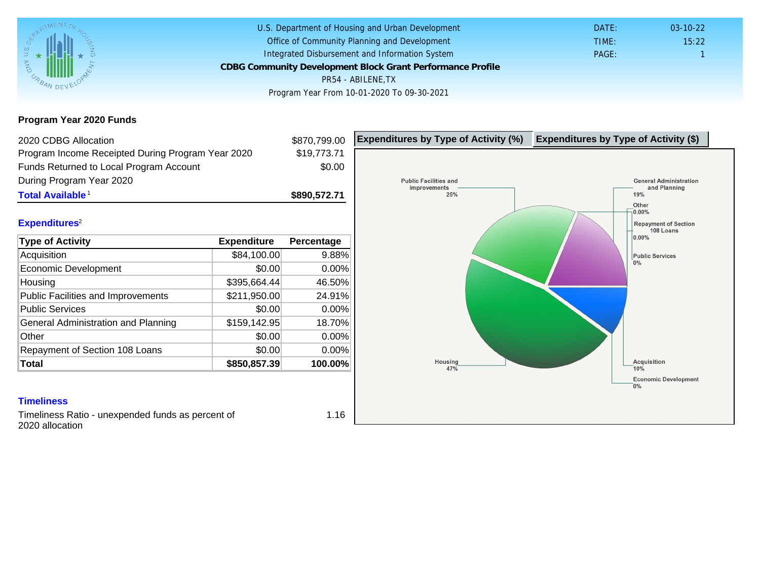Program Year 2020 Funds

| 2020 CDBG Allocation                              |              | \$870,799.00 | Expenditures by Type of Activity (%) | Expenditure |
|---------------------------------------------------|--------------|--------------|--------------------------------------|-------------|
| Program Income Receipted During Program Year 2020 |              | \$19,773.71  |                                      |             |
| Funds Returned to Local Program Account           |              | \$0.00       |                                      |             |
| During Program Year 2020                          |              |              |                                      |             |
| Total Available <sup>1</sup>                      |              | \$890,572.71 |                                      |             |
|                                                   |              |              |                                      |             |
| Expenditures <sup>2</sup>                         |              |              |                                      |             |
| Type of Activity                                  | Expenditure  | Percentage   |                                      |             |
| Acquisition                                       | \$84,100.00  | 9.88%        |                                      |             |
| Economic Development                              | \$0.00       | 0.00%        |                                      |             |
| Housing                                           | \$395,664.44 | 46.50%       |                                      |             |
| <b>Public Facilities and Improvements</b>         | \$211,950.00 | 24.91%       |                                      |             |
| <b>Public Services</b>                            | \$0.00       | 0.00%        |                                      |             |
| General Administration and Planning               | \$159,142.95 | 18.70%       |                                      |             |
| Other                                             | \$0.00       | $0.00\%$     |                                      |             |
| Repayment of Section 108 Loans                    | \$0.00       | $0.00\%$     |                                      |             |
| Total                                             | \$850,857.39 | 100.00%      |                                      |             |
|                                                   |              |              |                                      |             |
| <b>Timeliness</b>                                 |              |              |                                      |             |

Timeliness Ratio - unexpended funds as percent of 2020 allocation

1.16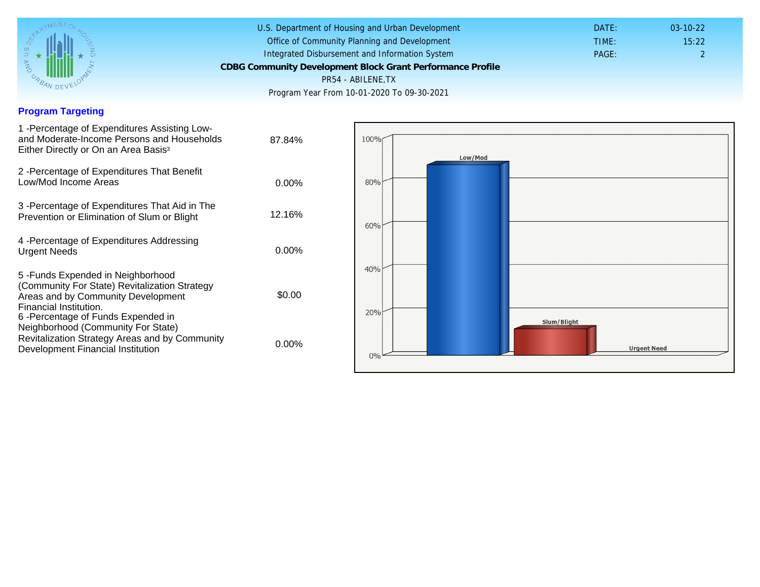## Program Targeting

| 1 - Percentage of Expenditures Assisting Low-<br>and Moderate-Income Persons and Households<br>Either Directly or On an Area Basis <sup>3</sup>                                                                                | 87.84%   |
|--------------------------------------------------------------------------------------------------------------------------------------------------------------------------------------------------------------------------------|----------|
| 2 - Percentage of Expenditures That Benefit<br>Low/Mod Income Areas                                                                                                                                                            | $0.00\%$ |
| 3 -Percentage of Expenditures That Aid in The<br>Prevention or Elimination of Slum or Blight                                                                                                                                   | 12.16%   |
| 4 - Percentage of Expenditures Addressing<br><b>Urgent Needs</b>                                                                                                                                                               | $0.00\%$ |
| 5 - Funds Expended in Neighborhood<br>(Community For State) Revitalization Strategy<br>Areas and by Community Development<br>Financial Institution.<br>6-Percentage of Funds Expended in<br>Neighborhood (Community For State) | \$0.00   |
| Revitalization Strategy Areas and by Community<br>Development Financial Institution                                                                                                                                            | 0.00%    |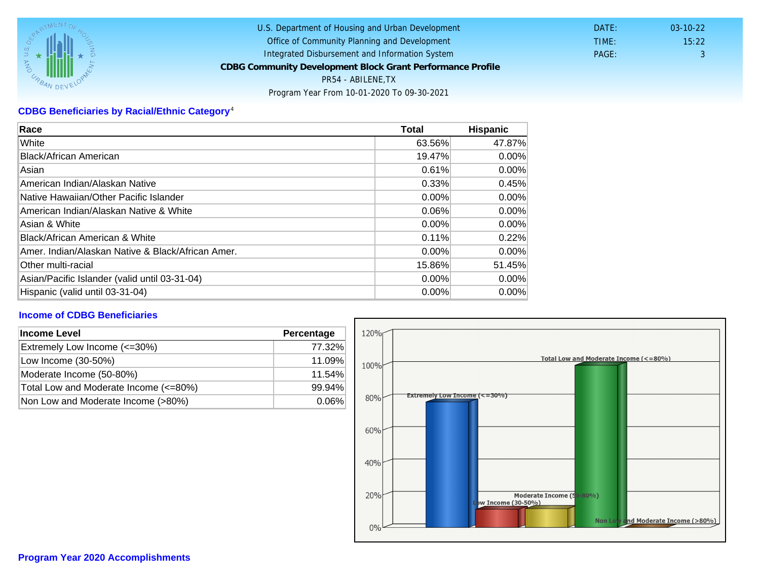## CDBG Beneficiaries by Racial/Ethnic Category <sup>4</sup>

| Race                                              | Total    | Hispanic |
|---------------------------------------------------|----------|----------|
| White                                             | 63.56%   | 47.87%   |
| Black/African American                            | 19.47%   | $0.00\%$ |
| Asian                                             | 0.61%    | $0.00\%$ |
| American Indian/Alaskan Native                    | 0.33%    | 0.45%    |
| lNative Hawaiian/Other Pacific Islander           | $0.00\%$ | $0.00\%$ |
| American Indian/Alaskan Native & White            | 0.06%    | $0.00\%$ |
| Asian & White                                     | 0.00%    | 0.00%    |
| Black/African American & White                    | 0.11%    | 0.22%    |
| Amer. Indian/Alaskan Native & Black/African Amer. | $0.00\%$ | $0.00\%$ |
| Other multi-racial                                | 15.86%   | 51.45%   |
| Asian/Pacific Islander (valid until 03-31-04)     | $0.00\%$ | $0.00\%$ |
| Hispanic (valid until 03-31-04)                   | $0.00\%$ | 0.00%    |

## Income of CDBG Beneficiaries

| Income Level                          | Percentage |  |
|---------------------------------------|------------|--|
| Extremely Low Income (<=30%)          | 77.32%     |  |
| Low Income (30-50%)                   | 11.09%     |  |
| Moderate Income (50-80%)              | 11.54%     |  |
| Total Low and Moderate Income (<=80%) | 99.94%     |  |
| Non Low and Moderate Income (>80%)    | $0.06\%$   |  |